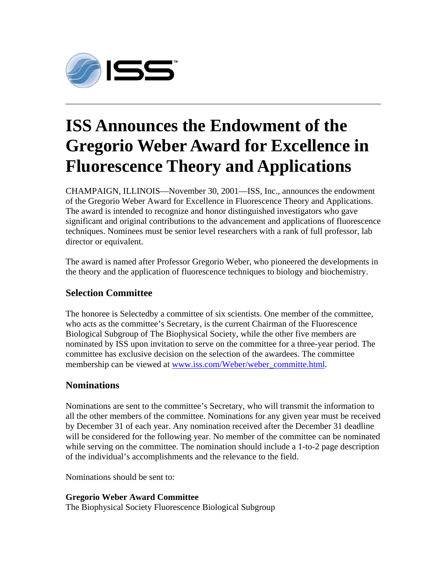

## **ISS Announces the Endowment of the Gregorio Weber Award for Excellence in Fluorescence Theory and Applications**

**\_\_\_\_\_\_\_\_\_\_\_\_\_\_\_\_\_\_\_\_\_\_\_\_\_\_\_\_\_\_\_\_\_\_\_\_\_\_\_\_\_\_\_\_\_\_\_\_\_\_\_\_\_\_\_\_\_\_\_\_\_\_\_\_\_\_\_\_\_\_\_\_\_\_\_\_\_\_\_\_\_\_\_\_\_\_\_\_\_\_\_\_\_\_\_\_\_\_\_\_\_\_\_\_\_\_\_\_** 

CHAMPAIGN, ILLINOIS—November 30, 2001—ISS, Inc., announces the endowment of the Gregorio Weber Award for Excellence in Fluorescence Theory and Applications. The award is intended to recognize and honor distinguished investigators who gave significant and original contributions to the advancement and applications of fluorescence techniques. Nominees must be senior level researchers with a rank of full professor, lab director or equivalent.

The award is named after Professor Gregorio Weber, who pioneered the developments in the theory and the application of fluorescence techniques to biology and biochemistry.

## **Selection Committee**

The honoree is Selectedby a committee of six scientists. One member of the committee, who acts as the committee's Secretary, is the current Chairman of the Fluorescence Biological Subgroup of The Biophysical Society, while the other five members are nominated by ISS upon invitation to serve on the committee for a three-year period. The committee has exclusive decision on the selection of the awardees. The committee membership can be viewed at www.iss.com/Weber/weber\_committe.html.

## **Nominations**

Nominations are sent to the committee's Secretary, who will transmit the information to all the other members of the committee. Nominations for any given year must be received by December 31 of each year. Any nomination received after the December 31 deadline will be considered for the following year. No member of the committee can be nominated while serving on the committee. The nomination should include a 1-to-2 page description of the individual's accomplishments and the relevance to the field.

Nominations should be sent to:

**Gregorio Weber Award Committee**

The Biophysical Society Fluorescence Biological Subgroup